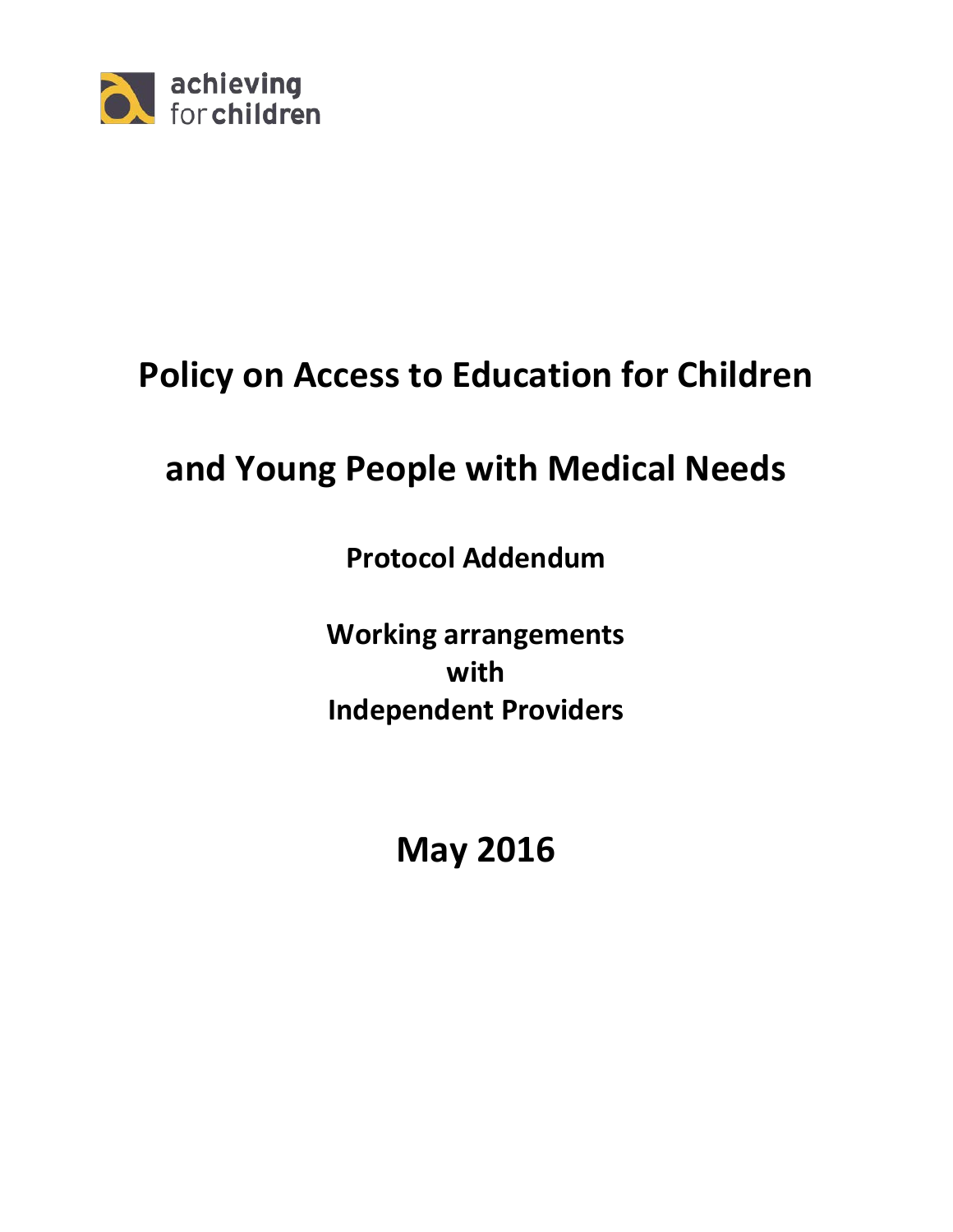

# **Policy on Access to Education for Children**

# **and Young People with Medical Needs**

**Protocol Addendum**

**Working arrangements with Independent Providers**

**May 2016**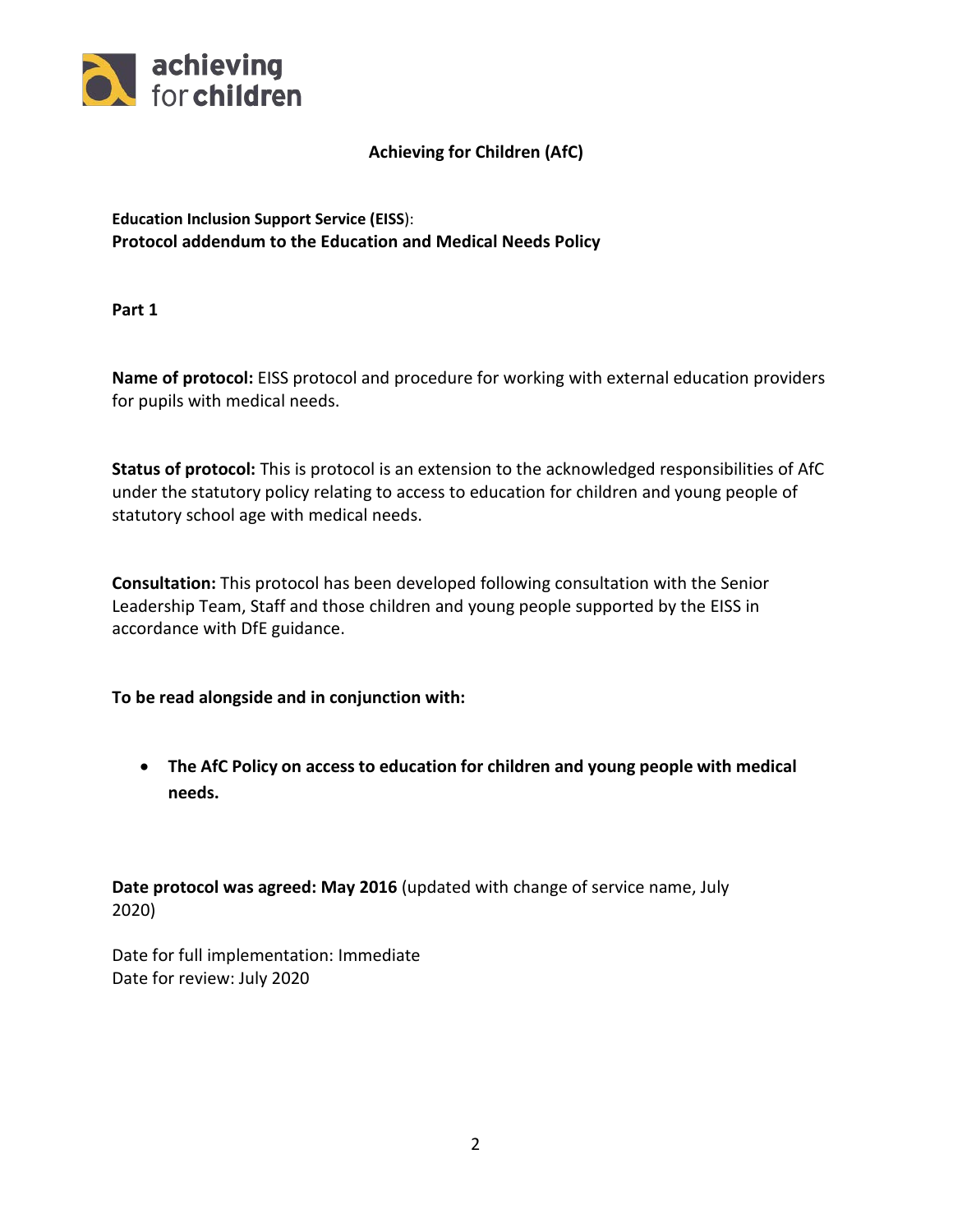

## **Achieving for Children (AfC)**

**Education Inclusion Support Service (EISS**): **Protocol addendum to the Education and Medical Needs Policy** 

**Part 1**

**Name of protocol:** EISS protocol and procedure for working with external education providers for pupils with medical needs.

**Status of protocol:** This is protocol is an extension to the acknowledged responsibilities of AfC under the statutory policy relating to access to education for children and young people of statutory school age with medical needs.

**Consultation:** This protocol has been developed following consultation with the Senior Leadership Team, Staff and those children and young people supported by the EISS in accordance with DfE guidance.

**To be read alongside and in conjunction with:**

• **The AfC Policy on access to education for children and young people with medical needs.**

**Date protocol was agreed: May 2016** (updated with change of service name, July 2020)

Date for full implementation: Immediate Date for review: July 2020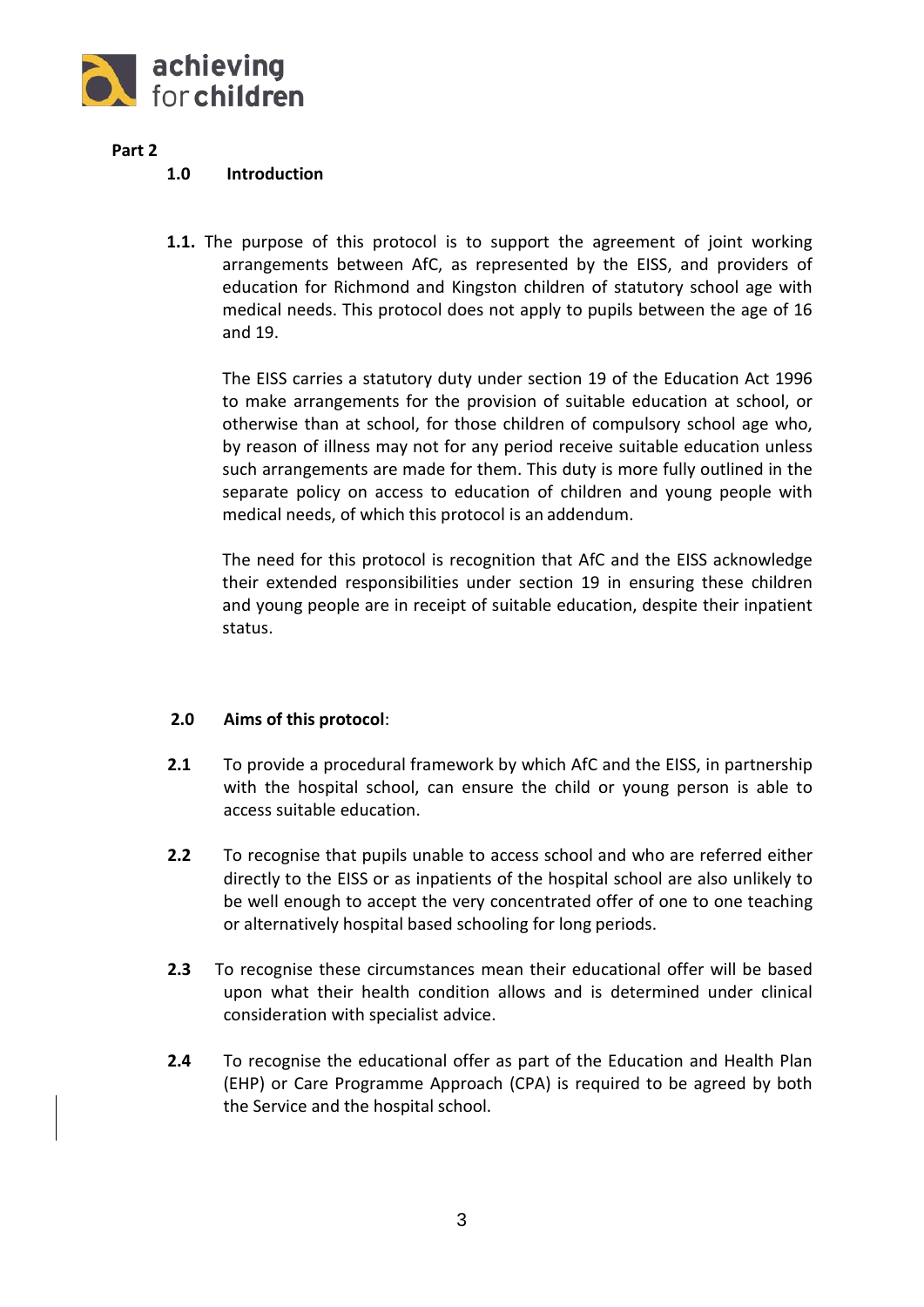

**Part 2**

### **1.0 Introduction**

**1.1.** The purpose of this protocol is to support the agreement of joint working arrangements between AfC, as represented by the EISS, and providers of education for Richmond and Kingston children of statutory school age with medical needs. This protocol does not apply to pupils between the age of 16 and 19.

The EISS carries a statutory duty under section 19 of the Education Act 1996 to make arrangements for the provision of suitable education at school, or otherwise than at school, for those children of compulsory school age who, by reason of illness may not for any period receive suitable education unless such arrangements are made for them. This duty is more fully outlined in the separate policy on access to education of children and young people with medical needs, of which this protocol is an addendum.

The need for this protocol is recognition that AfC and the EISS acknowledge their extended responsibilities under section 19 in ensuring these children and young people are in receipt of suitable education, despite their inpatient status.

## **2.0 Aims of this protocol**:

- **2.1** To provide a procedural framework by which AfC and the EISS, in partnership with the hospital school, can ensure the child or young person is able to access suitable education.
- **2.2** To recognise that pupils unable to access school and who are referred either directly to the EISS or as inpatients of the hospital school are also unlikely to be well enough to accept the very concentrated offer of one to one teaching or alternatively hospital based schooling for long periods.
- **2.3** To recognise these circumstances mean their educational offer will be based upon what their health condition allows and is determined under clinical consideration with specialist advice.
- **2.4** To recognise the educational offer as part of the Education and Health Plan (EHP) or Care Programme Approach (CPA) is required to be agreed by both the Service and the hospital school.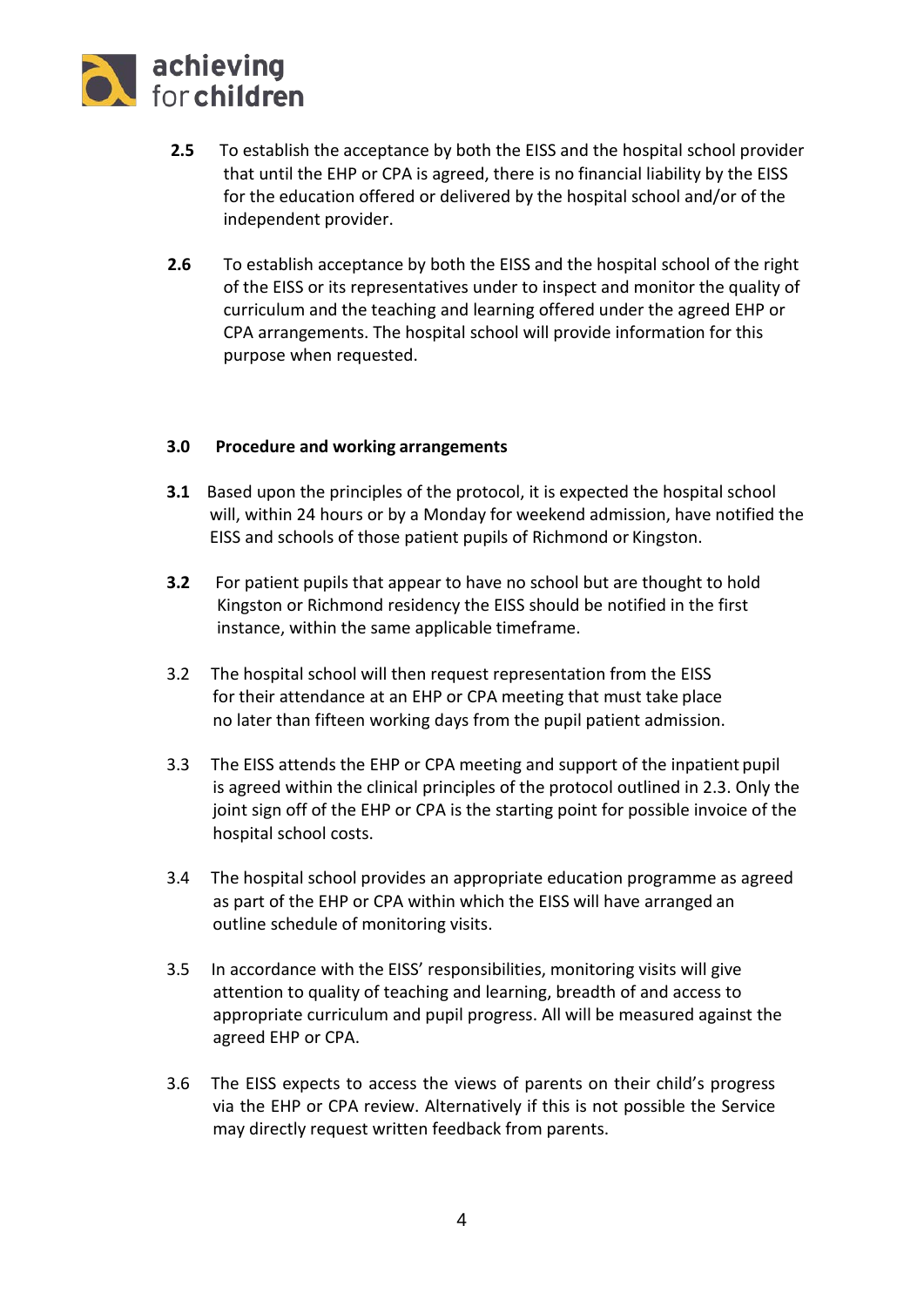

- **2.5** To establish the acceptance by both the EISS and the hospital school provider that until the EHP or CPA is agreed, there is no financial liability by the EISS for the education offered or delivered by the hospital school and/or of the independent provider.
- **2.6** To establish acceptance by both the EISS and the hospital school of the right of the EISS or its representatives under to inspect and monitor the quality of curriculum and the teaching and learning offered under the agreed EHP or CPA arrangements. The hospital school will provide information for this purpose when requested.

### **3.0 Procedure and working arrangements**

- **3.1** Based upon the principles of the protocol, it is expected the hospital school will, within 24 hours or by a Monday for weekend admission, have notified the EISS and schools of those patient pupils of Richmond or Kingston.
- **3.2** For patient pupils that appear to have no school but are thought to hold Kingston or Richmond residency the EISS should be notified in the first instance, within the same applicable timeframe.
- 3.2 The hospital school will then request representation from the EISS for their attendance at an EHP or CPA meeting that must take place no later than fifteen working days from the pupil patient admission.
- 3.3 The EISS attends the EHP or CPA meeting and support of the inpatient pupil is agreed within the clinical principles of the protocol outlined in 2.3. Only the joint sign off of the EHP or CPA is the starting point for possible invoice of the hospital school costs.
- 3.4 The hospital school provides an appropriate education programme as agreed as part of the EHP or CPA within which the EISS will have arranged an outline schedule of monitoring visits.
- 3.5 In accordance with the EISS' responsibilities, monitoring visits will give attention to quality of teaching and learning, breadth of and access to appropriate curriculum and pupil progress. All will be measured against the agreed EHP or CPA.
- 3.6 The EISS expects to access the views of parents on their child's progress via the EHP or CPA review. Alternatively if this is not possible the Service may directly request written feedback from parents.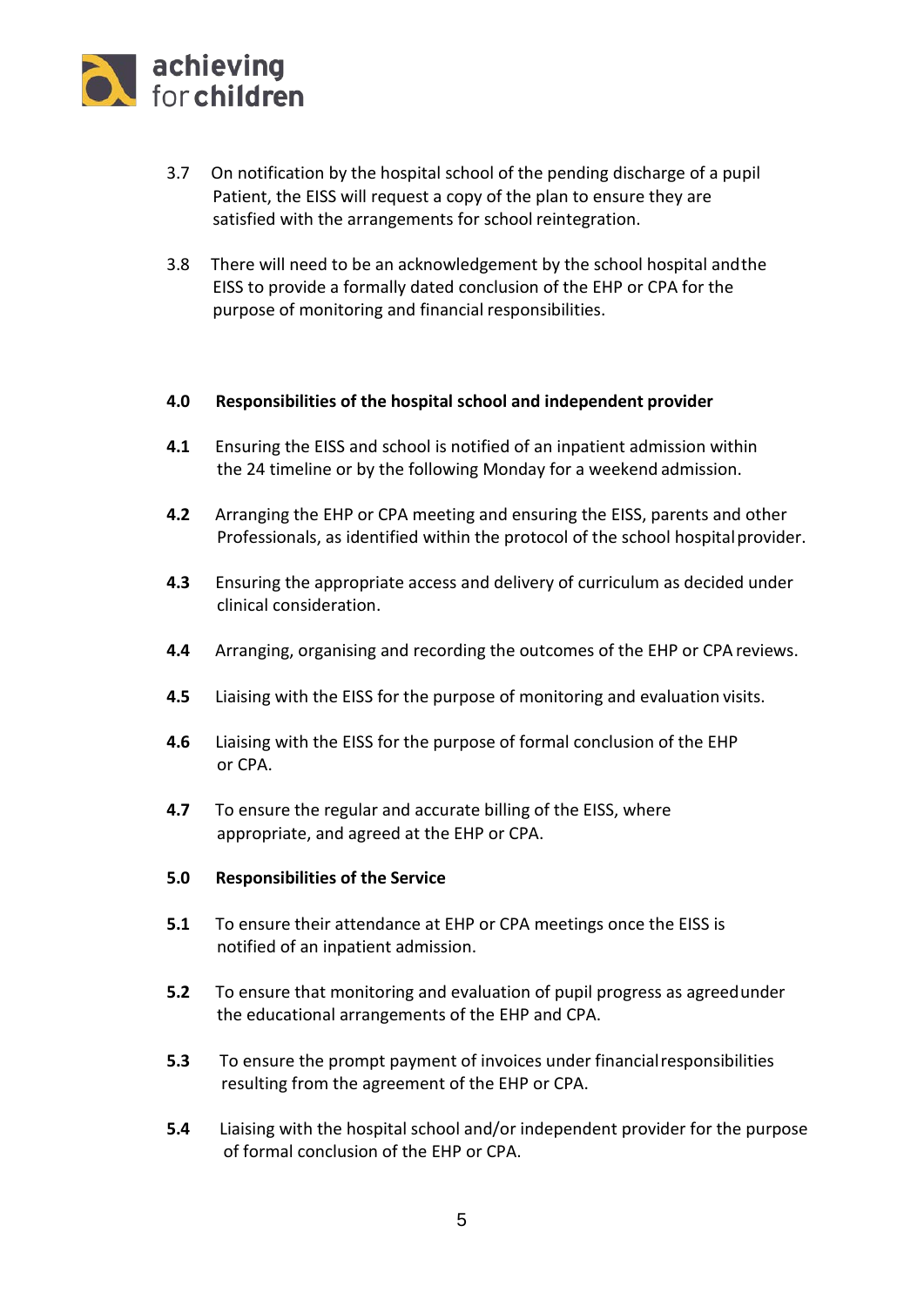

- 3.7 On notification by the hospital school of the pending discharge of a pupil Patient, the EISS will request a copy of the plan to ensure they are satisfied with the arrangements for school reintegration.
- 3.8 There will need to be an acknowledgement by the school hospital andthe EISS to provide a formally dated conclusion of the EHP or CPA for the purpose of monitoring and financial responsibilities.

### **4.0 Responsibilities of the hospital school and independent provider**

- **4.1** Ensuring the EISS and school is notified of an inpatient admission within the 24 timeline or by the following Monday for a weekend admission.
- **4.2** Arranging the EHP or CPA meeting and ensuring the EISS, parents and other Professionals, as identified within the protocol of the school hospital provider.
- **4.3** Ensuring the appropriate access and delivery of curriculum as decided under clinical consideration.
- **4.4** Arranging, organising and recording the outcomes of the EHP or CPA reviews.
- **4.5** Liaising with the EISS for the purpose of monitoring and evaluation visits.
- **4.6** Liaising with the EISS for the purpose of formal conclusion of the EHP or CPA.
- **4.7** To ensure the regular and accurate billing of the EISS, where appropriate, and agreed at the EHP or CPA.

#### **5.0 Responsibilities of the Service**

- **5.1** To ensure their attendance at EHP or CPA meetings once the EISS is notified of an inpatient admission.
- **5.2** To ensure that monitoring and evaluation of pupil progress as agreedunder the educational arrangements of the EHP and CPA.
- **5.3** To ensure the prompt payment of invoices under financialresponsibilities resulting from the agreement of the EHP or CPA.
- **5.4** Liaising with the hospital school and/or independent provider for the purpose of formal conclusion of the EHP or CPA.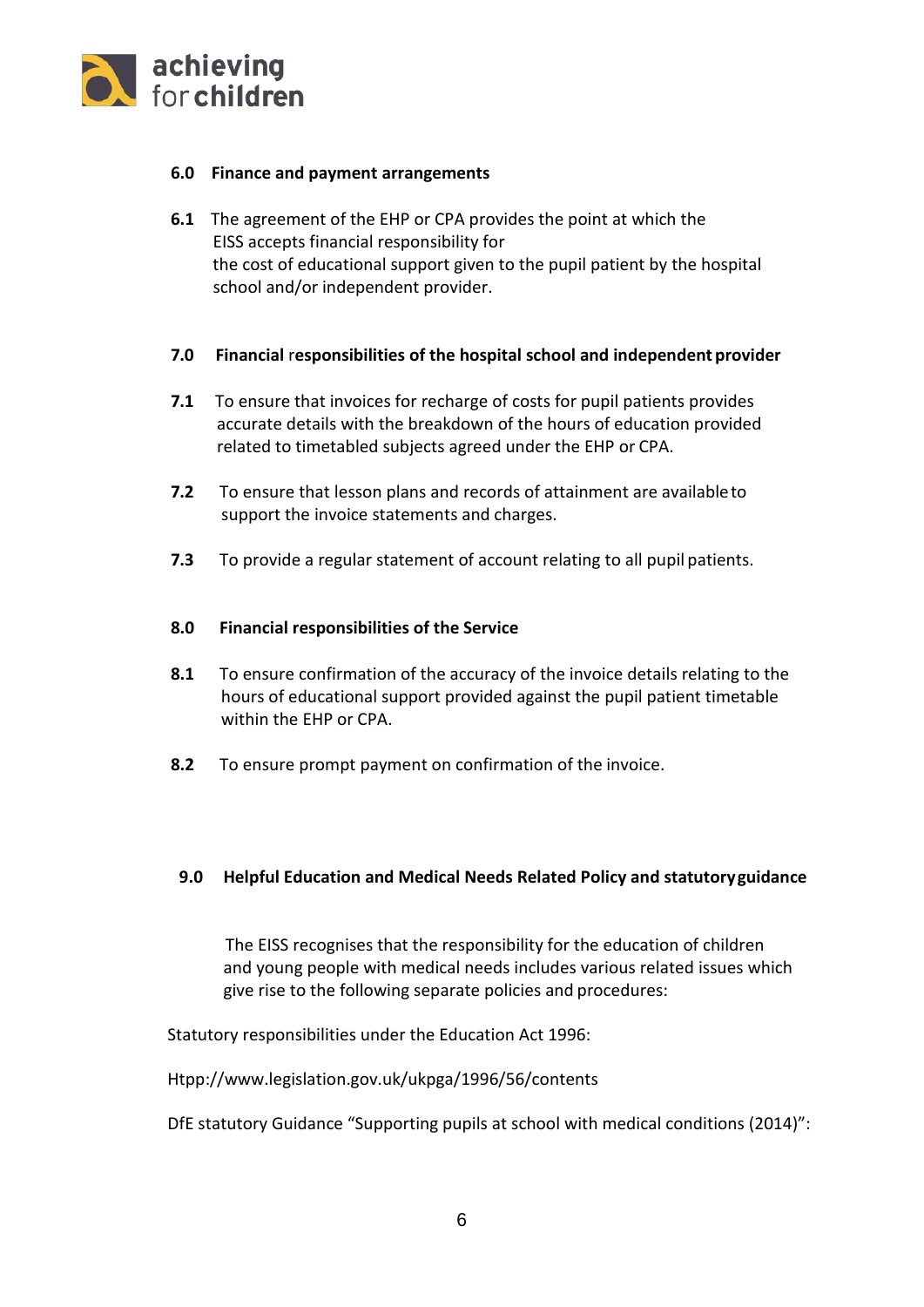

### **6.0 Finance and payment arrangements**

**6.1** The agreement of the EHP or CPA provides the point at which the EISS accepts financial responsibility for the cost of educational support given to the pupil patient by the hospital school and/or independent provider.

#### **7.0 Financial** r**esponsibilities of the hospital school and independent provider**

- **7.1** To ensure that invoices for recharge of costs for pupil patients provides accurate details with the breakdown of the hours of education provided related to timetabled subjects agreed under the EHP or CPA.
- **7.2** To ensure that lesson plans and records of attainment are availableto support the invoice statements and charges.
- **7.3** To provide a regular statement of account relating to all pupil patients.

#### **8.0 Financial responsibilities of the Service**

- **8.1** To ensure confirmation of the accuracy of the invoice details relating to the hours of educational support provided against the pupil patient timetable within the EHP or CPA.
- **8.2** To ensure prompt payment on confirmation of the invoice.

#### **9.0 Helpful Education and Medical Needs Related Policy and statutoryguidance**

The EISS recognises that the responsibility for the education of children and young people with medical needs includes various related issues which give rise to the following separate policies and procedures:

Statutory responsibilities under the Education Act 1996:

[Htpp://www.legislation.gov.uk/ukpga/1996/56/contents](htpp://www.legislation.gov.uk/ukpga/1996/56/contents)

DfE statutory Guidance "Supporting pupils at school with medical conditions (2014)":